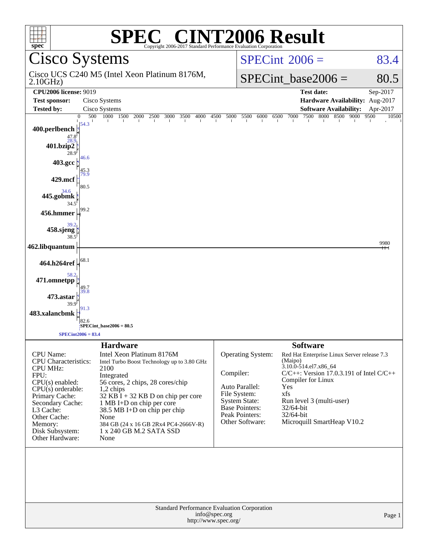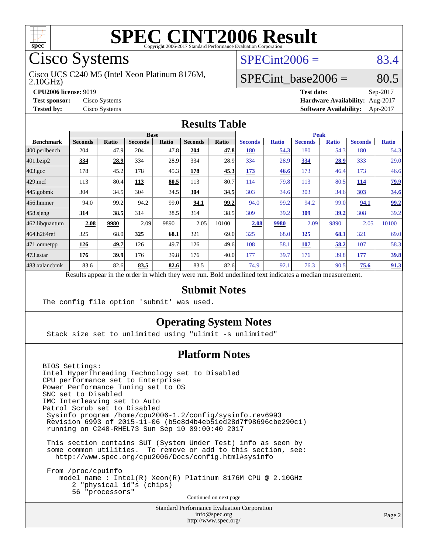

Cisco Systems

2.10GHz) Cisco UCS C240 M5 (Intel Xeon Platinum 8176M,  $SPECint2006 = 83.4$  $SPECint2006 = 83.4$ 

#### SPECint base2006 =  $80.5$

**[CPU2006 license:](http://www.spec.org/auto/cpu2006/Docs/result-fields.html#CPU2006license)** 9019 **[Test date:](http://www.spec.org/auto/cpu2006/Docs/result-fields.html#Testdate)** Sep-2017 **[Test sponsor:](http://www.spec.org/auto/cpu2006/Docs/result-fields.html#Testsponsor)** Cisco Systems **[Hardware Availability:](http://www.spec.org/auto/cpu2006/Docs/result-fields.html#HardwareAvailability)** Aug-2017 **[Tested by:](http://www.spec.org/auto/cpu2006/Docs/result-fields.html#Testedby)** Cisco Systems **[Software Availability:](http://www.spec.org/auto/cpu2006/Docs/result-fields.html#SoftwareAvailability)** Apr-2017

#### **[Results Table](http://www.spec.org/auto/cpu2006/Docs/result-fields.html#ResultsTable)**

|                    | <b>Base</b>                                                                                              |              |                |       |                |       | <b>Peak</b>    |              |                |              |                |              |
|--------------------|----------------------------------------------------------------------------------------------------------|--------------|----------------|-------|----------------|-------|----------------|--------------|----------------|--------------|----------------|--------------|
| <b>Benchmark</b>   | <b>Seconds</b>                                                                                           | <b>Ratio</b> | <b>Seconds</b> | Ratio | <b>Seconds</b> | Ratio | <b>Seconds</b> | <b>Ratio</b> | <b>Seconds</b> | <b>Ratio</b> | <b>Seconds</b> | <b>Ratio</b> |
| 400.perlbench      | 204                                                                                                      | 47.9         | 204            | 47.8  | 204            | 47.8  | <b>180</b>     | 54.3         | 180            | 54.3         | 180            | 54.3         |
| 401.bzip2          | 334                                                                                                      | 28.9         | 334            | 28.9  | 334            | 28.9  | 334            | 28.9         | 334            | <u>28.9</u>  | 333            | 29.0         |
| $403.\mathrm{gcc}$ | 178                                                                                                      | 45.2         | 178            | 45.3  | 178            | 45.3  | 173            | 46.6         | 173            | 46.4         | 173            | 46.6         |
| $429$ mcf          | 113                                                                                                      | 80.4         | 113            | 80.5  | 113            | 80.7  | 114            | 79.8         | 113            | 80.5         | 114            | <u>79.9</u>  |
| $445$ .gobmk       | 304                                                                                                      | 34.5         | 304            | 34.5  | 304            | 34.5  | 303            | 34.6         | 303            | 34.6         | 303            | 34.6         |
| 456.hmmer          | 94.0                                                                                                     | 99.2         | 94.2           | 99.0  | 94.1           | 99.2  | 94.0           | 99.2         | 94.2           | 99.0         | 94.1           | 99.2         |
| $458$ .sjeng       | 314                                                                                                      | 38.5         | 314            | 38.5  | 314            | 38.5  | 309            | 39.2         | 309            | 39.2         | 308            | 39.2         |
| 462.libquantum     | 2.08                                                                                                     | 9980         | 2.09           | 9890  | 2.05           | 10100 | 2.08           | 9980         | 2.09           | 9890         | 2.05           | 10100        |
| 464.h264ref        | 325                                                                                                      | 68.0         | 325            | 68.1  | 321            | 69.0  | 325            | 68.0         | <u>325</u>     | 68.1         | 321            | 69.0         |
| $ 471$ .omnetpp    | 126                                                                                                      | 49.7         | 126            | 49.7  | 126            | 49.6  | 108            | 58.1         | 107            | 58.2         | 107            | 58.3         |
| $473$ . astar      | 176                                                                                                      | 39.9         | 176            | 39.8  | 176            | 40.0  | 177            | 39.7         | 176            | 39.8         | 177            | <u>39.8</u>  |
| 483.xalancbmk      | 83.6                                                                                                     | 82.6         | 83.5           | 82.6  | 83.5           | 82.6  | 74.9           | 92.1         | 76.3           | 90.5         | 75.6           | 91.3         |
|                    | Results appear in the order in which they were run. Bold underlined text indicates a median measurement. |              |                |       |                |       |                |              |                |              |                |              |

#### **[Submit Notes](http://www.spec.org/auto/cpu2006/Docs/result-fields.html#SubmitNotes)**

The config file option 'submit' was used.

#### **[Operating System Notes](http://www.spec.org/auto/cpu2006/Docs/result-fields.html#OperatingSystemNotes)**

Stack size set to unlimited using "ulimit -s unlimited"

#### **[Platform Notes](http://www.spec.org/auto/cpu2006/Docs/result-fields.html#PlatformNotes)**

BIOS Settings: Intel HyperThreading Technology set to Disabled CPU performance set to Enterprise Power Performance Tuning set to OS SNC set to Disabled IMC Interleaving set to Auto Patrol Scrub set to Disabled Sysinfo program /home/cpu2006-1.2/config/sysinfo.rev6993 Revision 6993 of 2015-11-06 (b5e8d4b4eb51ed28d7f98696cbe290c1) running on C240-RHEL73 Sun Sep 10 09:00:40 2017

 This section contains SUT (System Under Test) info as seen by some common utilities. To remove or add to this section, see: <http://www.spec.org/cpu2006/Docs/config.html#sysinfo>

 From /proc/cpuinfo model name : Intel(R) Xeon(R) Platinum 8176M CPU @ 2.10GHz 2 "physical id"s (chips) 56 "processors"

Continued on next page

Standard Performance Evaluation Corporation [info@spec.org](mailto:info@spec.org) <http://www.spec.org/>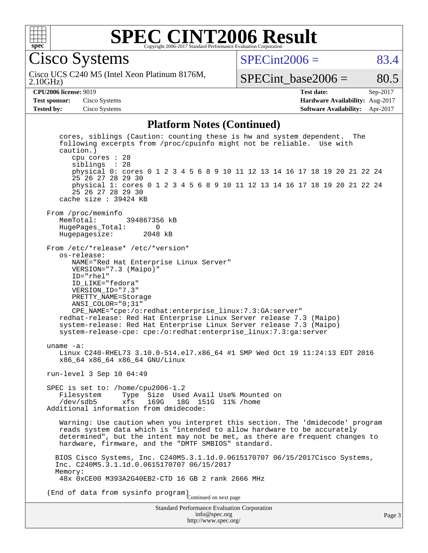

#### **[SPEC CINT2006 Result](http://www.spec.org/auto/cpu2006/Docs/result-fields.html#SPECCINT2006Result)** Copyright 2006-2017 Standard Performance Evaluation Corpora

Cisco Systems

 $SPECint2006 = 83.4$  $SPECint2006 = 83.4$ 

2.10GHz) Cisco UCS C240 M5 (Intel Xeon Platinum 8176M,

SPECint base2006 =  $80.5$ 

**[CPU2006 license:](http://www.spec.org/auto/cpu2006/Docs/result-fields.html#CPU2006license)** 9019 **[Test date:](http://www.spec.org/auto/cpu2006/Docs/result-fields.html#Testdate)** Sep-2017 **[Test sponsor:](http://www.spec.org/auto/cpu2006/Docs/result-fields.html#Testsponsor)** Cisco Systems **[Hardware Availability:](http://www.spec.org/auto/cpu2006/Docs/result-fields.html#HardwareAvailability)** Aug-2017 **[Tested by:](http://www.spec.org/auto/cpu2006/Docs/result-fields.html#Testedby)** Cisco Systems **[Software Availability:](http://www.spec.org/auto/cpu2006/Docs/result-fields.html#SoftwareAvailability)** Apr-2017

#### **[Platform Notes \(Continued\)](http://www.spec.org/auto/cpu2006/Docs/result-fields.html#PlatformNotes)**

Standard Performance Evaluation Corporation [info@spec.org](mailto:info@spec.org) cores, siblings (Caution: counting these is hw and system dependent. The following excerpts from /proc/cpuinfo might not be reliable. Use with caution.) cpu cores : 28 siblings : 28 physical 0: cores 0 1 2 3 4 5 6 8 9 10 11 12 13 14 16 17 18 19 20 21 22 24 25 26 27 28 29 30 physical 1: cores 0 1 2 3 4 5 6 8 9 10 11 12 13 14 16 17 18 19 20 21 22 24 25 26 27 28 29 30 cache size : 39424 KB From /proc/meminfo MemTotal: 394867356 kB HugePages\_Total: 0<br>Hugepagesize: 2048 kB Hugepagesize: From /etc/\*release\* /etc/\*version\* os-release: NAME="Red Hat Enterprise Linux Server" VERSION="7.3 (Maipo)" ID="rhel" ID\_LIKE="fedora" VERSION\_ID="7.3" PRETTY\_NAME=Storage ANSI\_COLOR="0;31" CPE\_NAME="cpe:/o:redhat:enterprise\_linux:7.3:GA:server" redhat-release: Red Hat Enterprise Linux Server release 7.3 (Maipo) system-release: Red Hat Enterprise Linux Server release 7.3 (Maipo) system-release-cpe: cpe:/o:redhat:enterprise\_linux:7.3:ga:server uname -a: Linux C240-RHEL73 3.10.0-514.el7.x86\_64 #1 SMP Wed Oct 19 11:24:13 EDT 2016 x86\_64 x86\_64 x86\_64 GNU/Linux run-level 3 Sep 10 04:49 SPEC is set to: /home/cpu2006-1.2<br>Filesystem Type Size Use Filesystem Type Size Used Avail Use% Mounted on<br>/dev/sdb5 xfs 169G 18G 151G 11% /home 18G 151G 11% /home Additional information from dmidecode: Warning: Use caution when you interpret this section. The 'dmidecode' program reads system data which is "intended to allow hardware to be accurately determined", but the intent may not be met, as there are frequent changes to hardware, firmware, and the "DMTF SMBIOS" standard. BIOS Cisco Systems, Inc. C240M5.3.1.1d.0.0615170707 06/15/2017Cisco Systems, Inc. C240M5.3.1.1d.0.0615170707 06/15/2017 Memory: 48x 0xCE00 M393A2G40EB2-CTD 16 GB 2 rank 2666 MHz (End of data from sysinfo program) Continued on next page

<http://www.spec.org/>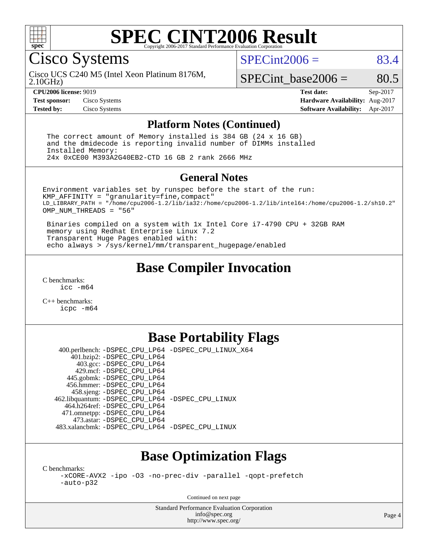

#### **[SPEC CINT2006 Result](http://www.spec.org/auto/cpu2006/Docs/result-fields.html#SPECCINT2006Result)** Copyright 2006-2017 Standard Performance Evaluation C

Cisco Systems

 $SPECint2006 = 83.4$  $SPECint2006 = 83.4$ 

2.10GHz) Cisco UCS C240 M5 (Intel Xeon Platinum 8176M,

 $SPECTnt\_base2006 = 80.5$ 

**[CPU2006 license:](http://www.spec.org/auto/cpu2006/Docs/result-fields.html#CPU2006license)** 9019 **[Test date:](http://www.spec.org/auto/cpu2006/Docs/result-fields.html#Testdate)** Sep-2017 **[Test sponsor:](http://www.spec.org/auto/cpu2006/Docs/result-fields.html#Testsponsor)** Cisco Systems **[Hardware Availability:](http://www.spec.org/auto/cpu2006/Docs/result-fields.html#HardwareAvailability)** Aug-2017 **[Tested by:](http://www.spec.org/auto/cpu2006/Docs/result-fields.html#Testedby)** Cisco Systems **[Software Availability:](http://www.spec.org/auto/cpu2006/Docs/result-fields.html#SoftwareAvailability)** Apr-2017

#### **[Platform Notes \(Continued\)](http://www.spec.org/auto/cpu2006/Docs/result-fields.html#PlatformNotes)**

 The correct amount of Memory installed is 384 GB (24 x 16 GB) and the dmidecode is reporting invalid number of DIMMs installed Installed Memory: 24x 0xCE00 M393A2G40EB2-CTD 16 GB 2 rank 2666 MHz

#### **[General Notes](http://www.spec.org/auto/cpu2006/Docs/result-fields.html#GeneralNotes)**

Environment variables set by runspec before the start of the run: KMP\_AFFINITY = "granularity=fine,compact" LD\_LIBRARY\_PATH = "/home/cpu2006-1.2/lib/ia32:/home/cpu2006-1.2/lib/intel64:/home/cpu2006-1.2/sh10.2" OMP NUM THREADS = "56"

 Binaries compiled on a system with 1x Intel Core i7-4790 CPU + 32GB RAM memory using Redhat Enterprise Linux 7.2 Transparent Huge Pages enabled with: echo always > /sys/kernel/mm/transparent\_hugepage/enabled

## **[Base Compiler Invocation](http://www.spec.org/auto/cpu2006/Docs/result-fields.html#BaseCompilerInvocation)**

[C benchmarks](http://www.spec.org/auto/cpu2006/Docs/result-fields.html#Cbenchmarks): [icc -m64](http://www.spec.org/cpu2006/results/res2017q4/cpu2006-20170919-50196.flags.html#user_CCbase_intel_icc_64bit_bda6cc9af1fdbb0edc3795bac97ada53)

[C++ benchmarks:](http://www.spec.org/auto/cpu2006/Docs/result-fields.html#CXXbenchmarks) [icpc -m64](http://www.spec.org/cpu2006/results/res2017q4/cpu2006-20170919-50196.flags.html#user_CXXbase_intel_icpc_64bit_fc66a5337ce925472a5c54ad6a0de310)

## **[Base Portability Flags](http://www.spec.org/auto/cpu2006/Docs/result-fields.html#BasePortabilityFlags)**

 400.perlbench: [-DSPEC\\_CPU\\_LP64](http://www.spec.org/cpu2006/results/res2017q4/cpu2006-20170919-50196.flags.html#b400.perlbench_basePORTABILITY_DSPEC_CPU_LP64) [-DSPEC\\_CPU\\_LINUX\\_X64](http://www.spec.org/cpu2006/results/res2017q4/cpu2006-20170919-50196.flags.html#b400.perlbench_baseCPORTABILITY_DSPEC_CPU_LINUX_X64) 401.bzip2: [-DSPEC\\_CPU\\_LP64](http://www.spec.org/cpu2006/results/res2017q4/cpu2006-20170919-50196.flags.html#suite_basePORTABILITY401_bzip2_DSPEC_CPU_LP64) 403.gcc: [-DSPEC\\_CPU\\_LP64](http://www.spec.org/cpu2006/results/res2017q4/cpu2006-20170919-50196.flags.html#suite_basePORTABILITY403_gcc_DSPEC_CPU_LP64) 429.mcf: [-DSPEC\\_CPU\\_LP64](http://www.spec.org/cpu2006/results/res2017q4/cpu2006-20170919-50196.flags.html#suite_basePORTABILITY429_mcf_DSPEC_CPU_LP64) 445.gobmk: [-DSPEC\\_CPU\\_LP64](http://www.spec.org/cpu2006/results/res2017q4/cpu2006-20170919-50196.flags.html#suite_basePORTABILITY445_gobmk_DSPEC_CPU_LP64) 456.hmmer: [-DSPEC\\_CPU\\_LP64](http://www.spec.org/cpu2006/results/res2017q4/cpu2006-20170919-50196.flags.html#suite_basePORTABILITY456_hmmer_DSPEC_CPU_LP64) 458.sjeng: [-DSPEC\\_CPU\\_LP64](http://www.spec.org/cpu2006/results/res2017q4/cpu2006-20170919-50196.flags.html#suite_basePORTABILITY458_sjeng_DSPEC_CPU_LP64) 462.libquantum: [-DSPEC\\_CPU\\_LP64](http://www.spec.org/cpu2006/results/res2017q4/cpu2006-20170919-50196.flags.html#suite_basePORTABILITY462_libquantum_DSPEC_CPU_LP64) [-DSPEC\\_CPU\\_LINUX](http://www.spec.org/cpu2006/results/res2017q4/cpu2006-20170919-50196.flags.html#b462.libquantum_baseCPORTABILITY_DSPEC_CPU_LINUX) 464.h264ref: [-DSPEC\\_CPU\\_LP64](http://www.spec.org/cpu2006/results/res2017q4/cpu2006-20170919-50196.flags.html#suite_basePORTABILITY464_h264ref_DSPEC_CPU_LP64) 471.omnetpp: [-DSPEC\\_CPU\\_LP64](http://www.spec.org/cpu2006/results/res2017q4/cpu2006-20170919-50196.flags.html#suite_basePORTABILITY471_omnetpp_DSPEC_CPU_LP64) 473.astar: [-DSPEC\\_CPU\\_LP64](http://www.spec.org/cpu2006/results/res2017q4/cpu2006-20170919-50196.flags.html#suite_basePORTABILITY473_astar_DSPEC_CPU_LP64) 483.xalancbmk: [-DSPEC\\_CPU\\_LP64](http://www.spec.org/cpu2006/results/res2017q4/cpu2006-20170919-50196.flags.html#suite_basePORTABILITY483_xalancbmk_DSPEC_CPU_LP64) [-DSPEC\\_CPU\\_LINUX](http://www.spec.org/cpu2006/results/res2017q4/cpu2006-20170919-50196.flags.html#b483.xalancbmk_baseCXXPORTABILITY_DSPEC_CPU_LINUX)

## **[Base Optimization Flags](http://www.spec.org/auto/cpu2006/Docs/result-fields.html#BaseOptimizationFlags)**

[C benchmarks](http://www.spec.org/auto/cpu2006/Docs/result-fields.html#Cbenchmarks):

[-xCORE-AVX2](http://www.spec.org/cpu2006/results/res2017q4/cpu2006-20170919-50196.flags.html#user_CCbase_f-xCORE-AVX2) [-ipo](http://www.spec.org/cpu2006/results/res2017q4/cpu2006-20170919-50196.flags.html#user_CCbase_f-ipo) [-O3](http://www.spec.org/cpu2006/results/res2017q4/cpu2006-20170919-50196.flags.html#user_CCbase_f-O3) [-no-prec-div](http://www.spec.org/cpu2006/results/res2017q4/cpu2006-20170919-50196.flags.html#user_CCbase_f-no-prec-div) [-parallel](http://www.spec.org/cpu2006/results/res2017q4/cpu2006-20170919-50196.flags.html#user_CCbase_f-parallel) [-qopt-prefetch](http://www.spec.org/cpu2006/results/res2017q4/cpu2006-20170919-50196.flags.html#user_CCbase_f-qopt-prefetch) [-auto-p32](http://www.spec.org/cpu2006/results/res2017q4/cpu2006-20170919-50196.flags.html#user_CCbase_f-auto-p32)

Continued on next page

Standard Performance Evaluation Corporation [info@spec.org](mailto:info@spec.org) <http://www.spec.org/>

Page 4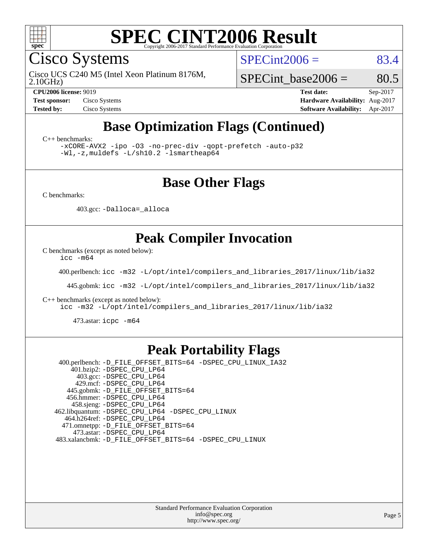

Cisco Systems

 $SPECint2006 = 83.4$  $SPECint2006 = 83.4$ 

2.10GHz) Cisco UCS C240 M5 (Intel Xeon Platinum 8176M,

SPECint base2006 =  $80.5$ 

**[CPU2006 license:](http://www.spec.org/auto/cpu2006/Docs/result-fields.html#CPU2006license)** 9019 **[Test date:](http://www.spec.org/auto/cpu2006/Docs/result-fields.html#Testdate)** Sep-2017 **[Test sponsor:](http://www.spec.org/auto/cpu2006/Docs/result-fields.html#Testsponsor)** Cisco Systems **[Hardware Availability:](http://www.spec.org/auto/cpu2006/Docs/result-fields.html#HardwareAvailability)** Aug-2017 **[Tested by:](http://www.spec.org/auto/cpu2006/Docs/result-fields.html#Testedby)** Cisco Systems **[Software Availability:](http://www.spec.org/auto/cpu2006/Docs/result-fields.html#SoftwareAvailability)** Apr-2017

## **[Base Optimization Flags \(Continued\)](http://www.spec.org/auto/cpu2006/Docs/result-fields.html#BaseOptimizationFlags)**

[C++ benchmarks:](http://www.spec.org/auto/cpu2006/Docs/result-fields.html#CXXbenchmarks)

[-xCORE-AVX2](http://www.spec.org/cpu2006/results/res2017q4/cpu2006-20170919-50196.flags.html#user_CXXbase_f-xCORE-AVX2) [-ipo](http://www.spec.org/cpu2006/results/res2017q4/cpu2006-20170919-50196.flags.html#user_CXXbase_f-ipo) [-O3](http://www.spec.org/cpu2006/results/res2017q4/cpu2006-20170919-50196.flags.html#user_CXXbase_f-O3) [-no-prec-div](http://www.spec.org/cpu2006/results/res2017q4/cpu2006-20170919-50196.flags.html#user_CXXbase_f-no-prec-div) [-qopt-prefetch](http://www.spec.org/cpu2006/results/res2017q4/cpu2006-20170919-50196.flags.html#user_CXXbase_f-qopt-prefetch) [-auto-p32](http://www.spec.org/cpu2006/results/res2017q4/cpu2006-20170919-50196.flags.html#user_CXXbase_f-auto-p32) [-Wl,-z,muldefs](http://www.spec.org/cpu2006/results/res2017q4/cpu2006-20170919-50196.flags.html#user_CXXbase_link_force_multiple1_74079c344b956b9658436fd1b6dd3a8a) [-L/sh10.2 -lsmartheap64](http://www.spec.org/cpu2006/results/res2017q4/cpu2006-20170919-50196.flags.html#user_CXXbase_SmartHeap64_63911d860fc08c15fa1d5bf319b9d8d5)

### **[Base Other Flags](http://www.spec.org/auto/cpu2006/Docs/result-fields.html#BaseOtherFlags)**

[C benchmarks](http://www.spec.org/auto/cpu2006/Docs/result-fields.html#Cbenchmarks):

403.gcc: [-Dalloca=\\_alloca](http://www.spec.org/cpu2006/results/res2017q4/cpu2006-20170919-50196.flags.html#b403.gcc_baseEXTRA_CFLAGS_Dalloca_be3056838c12de2578596ca5467af7f3)

### **[Peak Compiler Invocation](http://www.spec.org/auto/cpu2006/Docs/result-fields.html#PeakCompilerInvocation)**

[C benchmarks \(except as noted below\)](http://www.spec.org/auto/cpu2006/Docs/result-fields.html#Cbenchmarksexceptasnotedbelow):

[icc -m64](http://www.spec.org/cpu2006/results/res2017q4/cpu2006-20170919-50196.flags.html#user_CCpeak_intel_icc_64bit_bda6cc9af1fdbb0edc3795bac97ada53)

400.perlbench: [icc -m32 -L/opt/intel/compilers\\_and\\_libraries\\_2017/linux/lib/ia32](http://www.spec.org/cpu2006/results/res2017q4/cpu2006-20170919-50196.flags.html#user_peakCCLD400_perlbench_intel_icc_c29f3ff5a7ed067b11e4ec10a03f03ae)

445.gobmk: [icc -m32 -L/opt/intel/compilers\\_and\\_libraries\\_2017/linux/lib/ia32](http://www.spec.org/cpu2006/results/res2017q4/cpu2006-20170919-50196.flags.html#user_peakCCLD445_gobmk_intel_icc_c29f3ff5a7ed067b11e4ec10a03f03ae)

[C++ benchmarks \(except as noted below\):](http://www.spec.org/auto/cpu2006/Docs/result-fields.html#CXXbenchmarksexceptasnotedbelow)

[icc -m32 -L/opt/intel/compilers\\_and\\_libraries\\_2017/linux/lib/ia32](http://www.spec.org/cpu2006/results/res2017q4/cpu2006-20170919-50196.flags.html#user_CXXpeak_intel_icc_c29f3ff5a7ed067b11e4ec10a03f03ae)

473.astar: [icpc -m64](http://www.spec.org/cpu2006/results/res2017q4/cpu2006-20170919-50196.flags.html#user_peakCXXLD473_astar_intel_icpc_64bit_fc66a5337ce925472a5c54ad6a0de310)

### **[Peak Portability Flags](http://www.spec.org/auto/cpu2006/Docs/result-fields.html#PeakPortabilityFlags)**

 400.perlbench: [-D\\_FILE\\_OFFSET\\_BITS=64](http://www.spec.org/cpu2006/results/res2017q4/cpu2006-20170919-50196.flags.html#user_peakPORTABILITY400_perlbench_file_offset_bits_64_438cf9856305ebd76870a2c6dc2689ab) [-DSPEC\\_CPU\\_LINUX\\_IA32](http://www.spec.org/cpu2006/results/res2017q4/cpu2006-20170919-50196.flags.html#b400.perlbench_peakCPORTABILITY_DSPEC_CPU_LINUX_IA32) 401.bzip2: [-DSPEC\\_CPU\\_LP64](http://www.spec.org/cpu2006/results/res2017q4/cpu2006-20170919-50196.flags.html#suite_peakPORTABILITY401_bzip2_DSPEC_CPU_LP64) 403.gcc: [-DSPEC\\_CPU\\_LP64](http://www.spec.org/cpu2006/results/res2017q4/cpu2006-20170919-50196.flags.html#suite_peakPORTABILITY403_gcc_DSPEC_CPU_LP64) 429.mcf: [-DSPEC\\_CPU\\_LP64](http://www.spec.org/cpu2006/results/res2017q4/cpu2006-20170919-50196.flags.html#suite_peakPORTABILITY429_mcf_DSPEC_CPU_LP64) 445.gobmk: [-D\\_FILE\\_OFFSET\\_BITS=64](http://www.spec.org/cpu2006/results/res2017q4/cpu2006-20170919-50196.flags.html#user_peakPORTABILITY445_gobmk_file_offset_bits_64_438cf9856305ebd76870a2c6dc2689ab) 456.hmmer: [-DSPEC\\_CPU\\_LP64](http://www.spec.org/cpu2006/results/res2017q4/cpu2006-20170919-50196.flags.html#suite_peakPORTABILITY456_hmmer_DSPEC_CPU_LP64) 458.sjeng: [-DSPEC\\_CPU\\_LP64](http://www.spec.org/cpu2006/results/res2017q4/cpu2006-20170919-50196.flags.html#suite_peakPORTABILITY458_sjeng_DSPEC_CPU_LP64) 462.libquantum: [-DSPEC\\_CPU\\_LP64](http://www.spec.org/cpu2006/results/res2017q4/cpu2006-20170919-50196.flags.html#suite_peakPORTABILITY462_libquantum_DSPEC_CPU_LP64) [-DSPEC\\_CPU\\_LINUX](http://www.spec.org/cpu2006/results/res2017q4/cpu2006-20170919-50196.flags.html#b462.libquantum_peakCPORTABILITY_DSPEC_CPU_LINUX) 464.h264ref: [-DSPEC\\_CPU\\_LP64](http://www.spec.org/cpu2006/results/res2017q4/cpu2006-20170919-50196.flags.html#suite_peakPORTABILITY464_h264ref_DSPEC_CPU_LP64) 471.omnetpp: [-D\\_FILE\\_OFFSET\\_BITS=64](http://www.spec.org/cpu2006/results/res2017q4/cpu2006-20170919-50196.flags.html#user_peakPORTABILITY471_omnetpp_file_offset_bits_64_438cf9856305ebd76870a2c6dc2689ab) 473.astar: [-DSPEC\\_CPU\\_LP64](http://www.spec.org/cpu2006/results/res2017q4/cpu2006-20170919-50196.flags.html#suite_peakPORTABILITY473_astar_DSPEC_CPU_LP64) 483.xalancbmk: [-D\\_FILE\\_OFFSET\\_BITS=64](http://www.spec.org/cpu2006/results/res2017q4/cpu2006-20170919-50196.flags.html#user_peakPORTABILITY483_xalancbmk_file_offset_bits_64_438cf9856305ebd76870a2c6dc2689ab) [-DSPEC\\_CPU\\_LINUX](http://www.spec.org/cpu2006/results/res2017q4/cpu2006-20170919-50196.flags.html#b483.xalancbmk_peakCXXPORTABILITY_DSPEC_CPU_LINUX)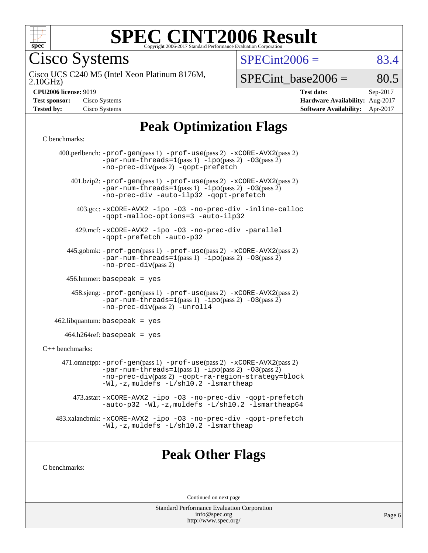

Cisco Systems

 $SPECint2006 = 83.4$  $SPECint2006 = 83.4$ 

2.10GHz) Cisco UCS C240 M5 (Intel Xeon Platinum 8176M,

 $SPECTnt\_base2006 = 80.5$ 

| <b>Test sponsor:</b> | Cisco Systems |
|----------------------|---------------|
| <b>Tested by:</b>    | Cisco Systems |

**[CPU2006 license:](http://www.spec.org/auto/cpu2006/Docs/result-fields.html#CPU2006license)** 9019 **[Test date:](http://www.spec.org/auto/cpu2006/Docs/result-fields.html#Testdate)** Sep-2017 **[Hardware Availability:](http://www.spec.org/auto/cpu2006/Docs/result-fields.html#HardwareAvailability)** Aug-2017 **[Software Availability:](http://www.spec.org/auto/cpu2006/Docs/result-fields.html#SoftwareAvailability)** Apr-2017

## **[Peak Optimization Flags](http://www.spec.org/auto/cpu2006/Docs/result-fields.html#PeakOptimizationFlags)**

#### [C benchmarks](http://www.spec.org/auto/cpu2006/Docs/result-fields.html#Cbenchmarks):

|                      | 400.perlbench: $-prof-gen(pass 1)$ $-prof-use(pass 2)$ $-xCORE-AVX2(pass 2)$<br>$-par-num-threads=1(pass 1) -ipo(pass 2) -03(pass 2)$<br>-no-prec-div(pass 2) -qopt-prefetch                                                  |
|----------------------|-------------------------------------------------------------------------------------------------------------------------------------------------------------------------------------------------------------------------------|
|                      | 401.bzip2: -prof-gen(pass 1) -prof-use(pass 2) -xCORE-AVX2(pass 2)<br>$-par-num-threads=1(pass 1) -ipo(pass 2) -03(pass 2)$<br>-no-prec-div -auto-ilp32 -qopt-prefetch                                                        |
|                      | 403.gcc: -xCORE-AVX2 -ipo -03 -no-prec-div -inline-calloc<br>-qopt-malloc-options=3 -auto-ilp32                                                                                                                               |
|                      | 429.mcf: -xCORE-AVX2 -ipo -03 -no-prec-div -parallel<br>-gopt-prefetch -auto-p32                                                                                                                                              |
|                      | 445.gobmk: -prof-gen(pass 1) -prof-use(pass 2) -xCORE-AVX2(pass 2)<br>$-par-num-threads=1(pass 1) -ipo(pass 2) -03(pass 2)$<br>$-no-prec-div(pass 2)$                                                                         |
|                      | 456.hmmer: basepeak = $yes$                                                                                                                                                                                                   |
|                      | 458.sjeng: -prof-gen(pass 1) -prof-use(pass 2) -xCORE-AVX2(pass 2)<br>$-par-num-threads=1(pass 1) -ipo(pass 2) -03(pass 2)$<br>-no-prec-div(pass 2) -unroll4                                                                  |
|                      | $462$ .libquantum: basepeak = yes                                                                                                                                                                                             |
|                      | $464.h264 \text{ref}$ : basepeak = yes                                                                                                                                                                                        |
| $C_{++}$ benchmarks: |                                                                                                                                                                                                                               |
|                      | 471.omnetpp: -prof-gen(pass 1) -prof-use(pass 2) -xCORE-AVX2(pass 2)<br>$-par-num-threads=1(pass 1) -ipo(pass 2) -03(pass 2)$<br>-no-prec-div(pass 2) -qopt-ra-region-strategy=block<br>-Wl,-z, muldefs -L/sh10.2 -lsmartheap |
|                      | 473.astar: -xCORE-AVX2 -ipo -03 -no-prec-div -qopt-prefetch<br>-auto-p32 -Wl,-z, muldefs -L/sh10.2 -lsmartheap64                                                                                                              |
|                      | 483.xalancbmk: -xCORE-AVX2 -ipo -03 -no-prec-div -qopt-prefetch<br>-Wl,-z, muldefs -L/sh10.2 -lsmartheap                                                                                                                      |
|                      |                                                                                                                                                                                                                               |

### **[Peak Other Flags](http://www.spec.org/auto/cpu2006/Docs/result-fields.html#PeakOtherFlags)**

[C benchmarks](http://www.spec.org/auto/cpu2006/Docs/result-fields.html#Cbenchmarks):

Continued on next page

Standard Performance Evaluation Corporation [info@spec.org](mailto:info@spec.org) <http://www.spec.org/>